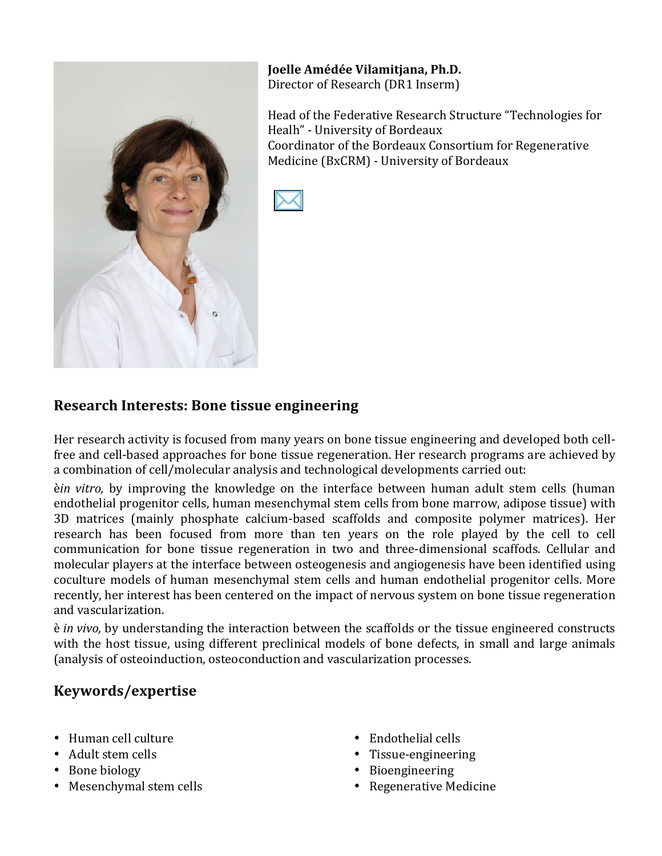

**Joelle%Amédée%Vilamitjana,%Ph.D.** Director of Research (DR1 Inserm)

Head of the Federative Research Structure "Technologies for Healh" - University of Bordeaux Coordinator of the Bordeaux Consortium for Regenerative Medicine (BxCRM) - University of Bordeaux



### **Research Interests: Bone tissue engineering**

Her research activity is focused from many years on bone tissue engineering and developed both cellfree and cell-based approaches for bone tissue regeneration. Her research programs are achieved by a combination of cell/molecular analysis and technological developments carried out:

è*in vitro*, by improving the knowledge on the interface between human adult stem cells (human endothelial progenitor cells, human mesenchymal stem cells from bone marrow, adipose tissue) with 3D matrices (mainly phosphate calcium-based scaffolds and composite polymer matrices). Her research has been focused from more than ten years on the role played by the cell to cell communication for bone tissue regeneration in two and three-dimensional scaffods. Cellular and molecular players at the interface between osteogenesis and angiogenesis have been identified using coculture models of human mesenchymal stem cells and human endothelial progenitor cells. More recently, her interest has been centered on the impact of nervous system on bone tissue regeneration and vascularization.

 $\dot{\textbf{e}}$  *in vivo*, by understanding the interaction between the scaffolds or the tissue engineered constructs with the host tissue, using different preclinical models of bone defects, in small and large animals (analysis of osteoinduction, osteoconduction and vascularization processes.

# **Keywords/expertise**

- Human cell culture
- Adult stem cells
- $\bullet$  Bone biology
- $\bullet$  Mesenchymal stem cells
- $\bullet$  Endothelial cells
- Tissue-engineering
- Bioengineering
- Regenerative Medicine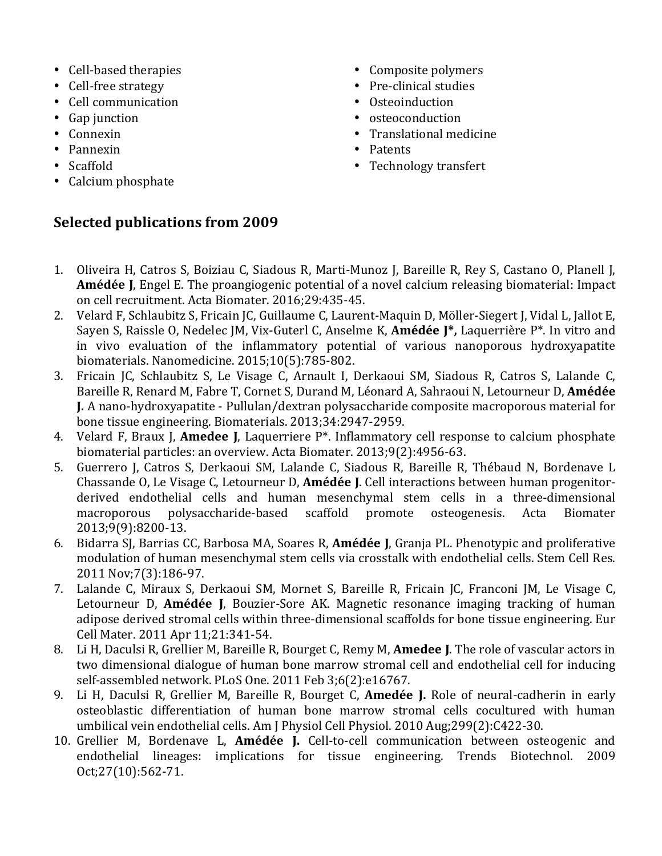- Cell-based therapies
- Cell-free strategy
- Cell communication
- $\bullet$  Gap junction
- Connexin
- Pannexin
- Scaffold
- Calcium phosphate
- Composite polymers
- Pre-clinical studies
- Osteoinduction
- osteoconduction
- Translational medicine
- Patents
- Technology transfert

#### **Selected publications from 2009**

- 1. Oliveira H, Catros S, Boiziau C, Siadous R, Marti-Munoz J, Bareille R, Rey S, Castano O, Planell J, **Amédée J, Engel E.** The proangiogenic potential of a novel calcium releasing biomaterial: Impact on cell recruitment. Acta Biomater. 2016;29:435-45.
- 2. Velard F, Schlaubitz S, Fricain JC, Guillaume C, Laurent-Maquin D, Möller-Siegert J, Vidal L, Jallot E, Sayen S, Raissle O, Nedelec JM, Vix-Guterl C, Anselme K, Amédée J<sup>\*</sup>, Laquerrière P<sup>\*</sup>. In vitro and in vivo evaluation of the inflammatory potential of various nanoporous hydroxyapatite biomaterials. Nanomedicine.  $2015;10(5):785-802$ .
- 3. Fricain JC, Schlaubitz S, Le Visage C, Arnault I, Derkaoui SM, Siadous R, Catros S, Lalande C, Bareille R, Renard M, Fabre T, Cornet S, Durand M, Léonard A, Sahraoui N, Letourneur D, Amédée **J.** A nano-hydroxyapatite - Pullulan/dextran polysaccharide composite macroporous material for bone tissue engineering. Biomaterials. 2013;34:2947-2959.
- 4. Velard F, Braux J, **Amedee J**, Laquerriere P<sup>\*</sup>. Inflammatory cell response to calcium phosphate biomaterial particles: an overview. Acta Biomater. 2013;9(2):4956-63.
- 5. Guerrero J, Catros S, Derkaoui SM, Lalande C, Siadous R, Bareille R, Thébaud N, Bordenave L Chassande O, Le Visage C, Letourneur D, **Amédée J**. Cell interactions between human progenitorderived endothelial cells and human mesenchymal stem cells in a three-dimensional macroporous polysaccharide-based scaffold promote osteogenesis. Acta Biomater 2013;9(9):8200?13.
- 6. Bidarra SJ, Barrias CC, Barbosa MA, Soares R, **Amédée J**, Granja PL. Phenotypic and proliferative modulation of human mesenchymal stem cells via crosstalk with endothelial cells. Stem Cell Res. 2011 Nov;7(3):186-97.
- 7. Lalande C, Miraux S, Derkaoui SM, Mornet S, Bareille R, Fricain JC, Franconi JM, Le Visage C, Letourneur D, **Amédée J**, Bouzier-Sore AK. Magnetic resonance imaging tracking of human adipose derived stromal cells within three-dimensional scaffolds for bone tissue engineering. Eur Cell Mater. 2011 Apr 11;21:341-54.
- 8. Li H, Daculsi R, Grellier M, Bareille R, Bourget C, Remy M, **Amedee J**. The role of vascular actors in two dimensional dialogue of human bone marrow stromal cell and endothelial cell for inducing self-assembled network. PLoS One. 2011 Feb 3;6(2):e16767.
- 9. Li H, Daculsi R, Grellier M, Bareille R, Bourget C, **Amedée J.** Role of neural-cadherin in early osteoblastic differentiation of human bone marrow stromal cells cocultured with human umbilical vein endothelial cells. Am J Physiol Cell Physiol. 2010 Aug;299(2):C422-30.
- 10. Grellier M, Bordenave L, **Amédée J.** Cell-to-cell communication between osteogenic and endothelial lineages: implications for tissue engineering. Trends Biotechnol. 2009 Oct; 27(10): 562-71.